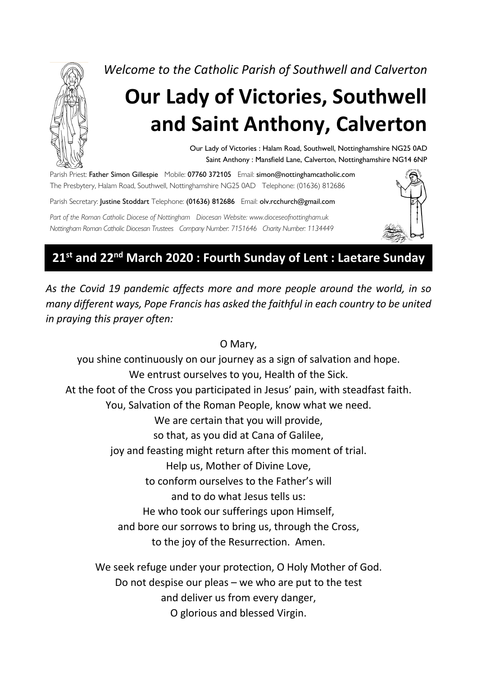

*Welcome to the Catholic Parish of Southwell and Calverton*

# **Our Lady of Victories, Southwell and Saint Anthony, Calverton**

Our Lady of Victories : Halam Road, Southwell, Nottinghamshire NG25 0AD Saint Anthony : Mansfield Lane, Calverton, Nottinghamshire NG14 6NP

Parish Priest: Father Simon Gillespie Mobile: 07760 372105 Email: simon@nottinghamcatholic.com The Presbytery, Halam Road, Southwell, Nottinghamshire NG25 0AD Telephone: (01636) 812686 Parish Secretary: Justine Stoddart Telephone: (01636) 812686 Email: olv.rcchurch@gmail.com

*Part of the Roman Catholic Diocese of Nottingham Diocesan Website: www.dioceseofnottingham.uk Nottingham Roman Catholic Diocesan Trustees Company Number: 7151646 Charity Number: 1134449*



# **21st and 22nd March 2020 : Fourth Sunday of Lent : Laetare Sunday**

*As the Covid 19 pandemic affects more and more people around the world, in so many different ways, Pope Francis has asked the faithful in each country to be united in praying this prayer often:*

#### O Mary,

you shine continuously on our journey as a sign of salvation and hope. We entrust ourselves to you, Health of the Sick. At the foot of the Cross you participated in Jesus' pain, with steadfast faith. You, Salvation of the Roman People, know what we need. We are certain that you will provide, so that, as you did at Cana of Galilee, joy and feasting might return after this moment of trial. Help us, Mother of Divine Love, to conform ourselves to the Father's will and to do what Jesus tells us: He who took our sufferings upon Himself, and bore our sorrows to bring us, through the Cross, to the joy of the Resurrection. Amen. We seek refuge under your protection, O Holy Mother of God. Do not despise our pleas – we who are put to the test and deliver us from every danger,

O glorious and blessed Virgin.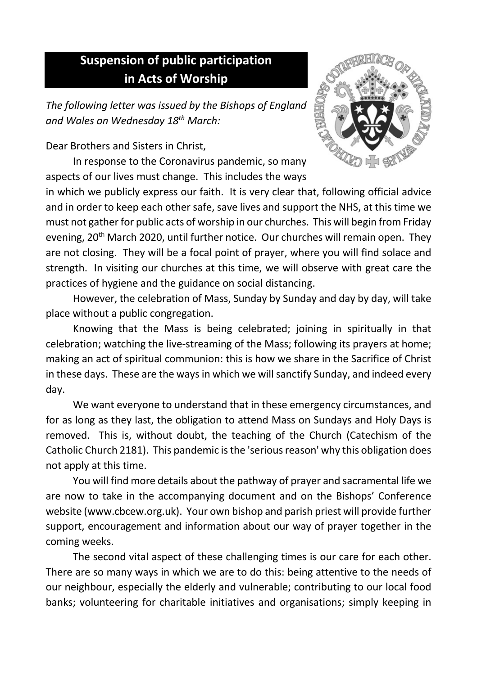# **Suspension of public participation in Acts of Worship**

*The following letter was issued by the Bishops of England and Wales on Wednesday 18th March:*

Dear Brothers and Sisters in Christ,

In response to the Coronavirus pandemic, so many aspects of our lives must change. This includes the ways

in which we publicly express our faith. It is very clear that, following official advice and in order to keep each other safe, save lives and support the NHS, at this time we must not gather for public acts of worship in our churches. This will begin from Friday evening, 20<sup>th</sup> March 2020, until further notice. Our churches will remain open. They are not closing. They will be a focal point of prayer, where you will find solace and strength. In visiting our churches at this time, we will observe with great care the practices of hygiene and the guidance on social distancing.

However, the celebration of Mass, Sunday by Sunday and day by day, will take place without a public congregation.

Knowing that the Mass is being celebrated; joining in spiritually in that celebration; watching the live-streaming of the Mass; following its prayers at home; making an act of spiritual communion: this is how we share in the Sacrifice of Christ in these days. These are the ways in which we will sanctify Sunday, and indeed every day.

We want everyone to understand that in these emergency circumstances, and for as long as they last, the obligation to attend Mass on Sundays and Holy Days is removed. This is, without doubt, the teaching of the Church (Catechism of the Catholic Church 2181). This pandemic is the 'serious reason' why this obligation does not apply at this time.

You will find more details about the pathway of prayer and sacramental life we are now to take in the accompanying document and on the Bishops' Conference website (www.cbcew.org.uk). Your own bishop and parish priest will provide further support, encouragement and information about our way of prayer together in the coming weeks.

The second vital aspect of these challenging times is our care for each other. There are so many ways in which we are to do this: being attentive to the needs of our neighbour, especially the elderly and vulnerable; contributing to our local food banks; volunteering for charitable initiatives and organisations; simply keeping in

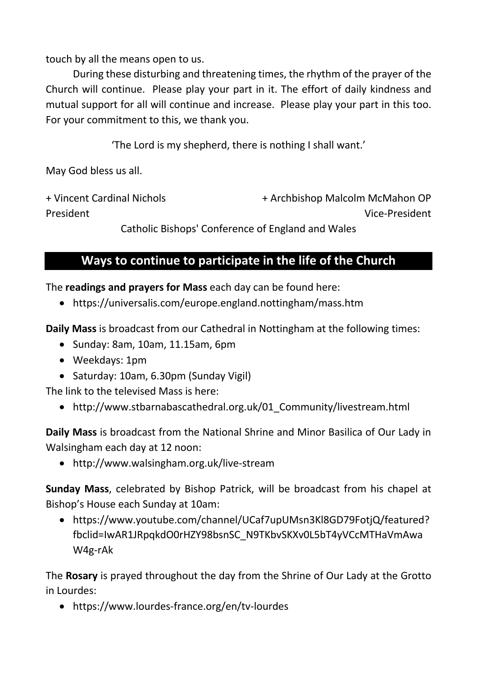touch by all the means open to us.

During these disturbing and threatening times, the rhythm of the prayer of the Church will continue. Please play your part in it. The effort of daily kindness and mutual support for all will continue and increase. Please play your part in this too. For your commitment to this, we thank you.

'The Lord is my shepherd, there is nothing I shall want.'

May God bless us all.

+ Vincent Cardinal Nichols + Archbishop Malcolm McMahon OP President Vice-President

Catholic Bishops' Conference of England and Wales

## **Ways to continue to participate in the life of the Church**

The **readings and prayers for Mass** each day can be found here:

• https://universalis.com/europe.england.nottingham/mass.htm

**Daily Mass** is broadcast from our Cathedral in Nottingham at the following times:

- Sunday: 8am, 10am, 11.15am, 6pm
- Weekdays: 1pm
- Saturday: 10am, 6.30pm (Sunday Vigil)

The link to the televised Mass is here:

• http://www.stbarnabascathedral.org.uk/01 Community/livestream.html

**Daily Mass** is broadcast from the National Shrine and Minor Basilica of Our Lady in Walsingham each day at 12 noon:

• http://www.walsingham.org.uk/live-stream

**Sunday Mass**, celebrated by Bishop Patrick, will be broadcast from his chapel at Bishop's House each Sunday at 10am:

• https://www.youtube.com/channel/UCaf7upUMsn3Kl8GD79FotjQ/featured? fbclid=IwAR1JRpqkdO0rHZY98bsnSC\_N9TKbvSKXv0L5bT4yVCcMTHaVmAwa W4g-rAk

The **Rosary** is prayed throughout the day from the Shrine of Our Lady at the Grotto in Lourdes:

• https://www.lourdes-france.org/en/tv-lourdes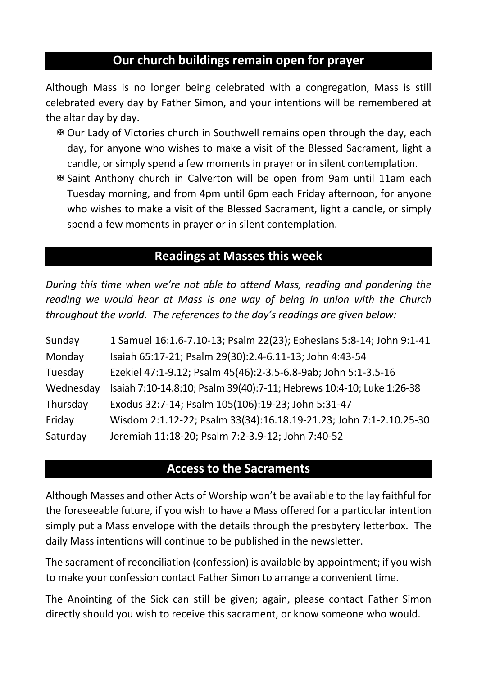## **Our church buildings remain open for prayer**

Although Mass is no longer being celebrated with a congregation, Mass is still celebrated every day by Father Simon, and your intentions will be remembered at the altar day by day.

- X Our Lady of Victories church in Southwell remains open through the day, each day, for anyone who wishes to make a visit of the Blessed Sacrament, light a candle, or simply spend a few moments in prayer or in silent contemplation.
- X Saint Anthony church in Calverton will be open from 9am until 11am each Tuesday morning, and from 4pm until 6pm each Friday afternoon, for anyone who wishes to make a visit of the Blessed Sacrament, light a candle, or simply spend a few moments in prayer or in silent contemplation.

#### **Readings at Masses this week**

*During this time when we're not able to attend Mass, reading and pondering the reading we would hear at Mass is one way of being in union with the Church throughout the world. The references to the day's readings are given below:*

| Sunday    | 1 Samuel 16:1.6-7.10-13; Psalm 22(23); Ephesians 5:8-14; John 9:1-41  |
|-----------|-----------------------------------------------------------------------|
| Monday    | Isaiah 65:17-21; Psalm 29(30):2.4-6.11-13; John 4:43-54               |
| Tuesday   | Ezekiel 47:1-9.12; Psalm 45(46):2-3.5-6.8-9ab; John 5:1-3.5-16        |
| Wednesday | Isaiah 7:10-14.8:10; Psalm 39(40):7-11; Hebrews 10:4-10; Luke 1:26-38 |
| Thursday  | Exodus 32:7-14; Psalm 105(106):19-23; John 5:31-47                    |
| Friday    | Wisdom 2:1.12-22; Psalm 33(34):16.18.19-21.23; John 7:1-2.10.25-30    |
| Saturday  | Jeremiah 11:18-20; Psalm 7:2-3.9-12; John 7:40-52                     |

#### **Access to the Sacraments**

Although Masses and other Acts of Worship won't be available to the lay faithful for the foreseeable future, if you wish to have a Mass offered for a particular intention simply put a Mass envelope with the details through the presbytery letterbox. The daily Mass intentions will continue to be published in the newsletter.

The sacrament of reconciliation (confession) is available by appointment; if you wish to make your confession contact Father Simon to arrange a convenient time.

The Anointing of the Sick can still be given; again, please contact Father Simon directly should you wish to receive this sacrament, or know someone who would.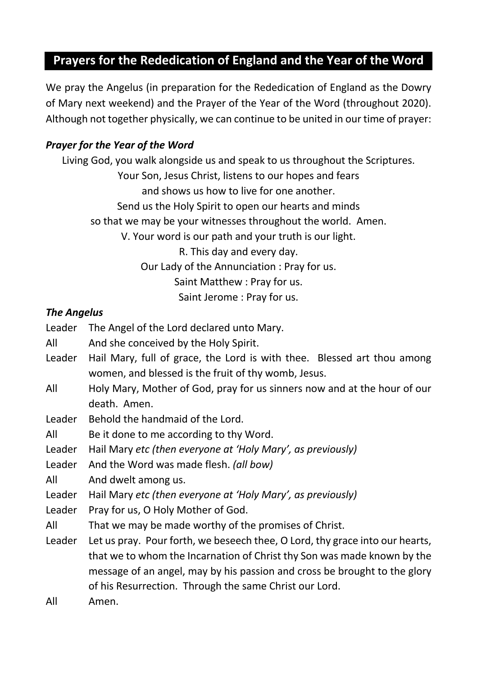# **Prayers for the Rededication of England and the Year of the Word**

We pray the Angelus (in preparation for the Rededication of England as the Dowry of Mary next weekend) and the Prayer of the Year of the Word (throughout 2020). Although not together physically, we can continue to be united in our time of prayer:

#### *Prayer for the Year of the Word*

Living God, you walk alongside us and speak to us throughout the Scriptures. Your Son, Jesus Christ, listens to our hopes and fears and shows us how to live for one another. Send us the Holy Spirit to open our hearts and minds so that we may be your witnesses throughout the world. Amen. V. Your word is our path and your truth is our light. R. This day and every day. Our Lady of the Annunciation : Pray for us. Saint Matthew : Pray for us. Saint Jerome : Pray for us.

#### *The Angelus*

- Leader The Angel of the Lord declared unto Mary.
- All And she conceived by the Holy Spirit.
- Leader Hail Mary, full of grace, the Lord is with thee. Blessed art thou among women, and blessed is the fruit of thy womb, Jesus.
- All Holy Mary, Mother of God, pray for us sinners now and at the hour of our death. Amen.
- Leader Behold the handmaid of the Lord.
- All Be it done to me according to thy Word.
- Leader Hail Mary *etc (then everyone at 'Holy Mary', as previously)*
- Leader And the Word was made flesh. *(all bow)*
- All And dwelt among us.
- Leader Hail Mary *etc (then everyone at 'Holy Mary', as previously)*
- Leader Pray for us, O Holy Mother of God.
- All That we may be made worthy of the promises of Christ.
- Leader Let us pray. Pour forth, we beseech thee, O Lord, thy grace into our hearts, that we to whom the Incarnation of Christ thy Son was made known by the message of an angel, may by his passion and cross be brought to the glory of his Resurrection. Through the same Christ our Lord.
- All Amen.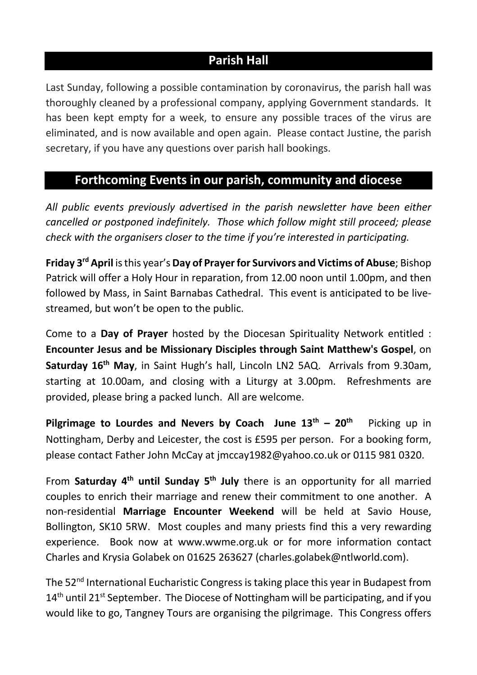## **Parish Hall**

Last Sunday, following a possible contamination by coronavirus, the parish hall was thoroughly cleaned by a professional company, applying Government standards. It has been kept empty for a week, to ensure any possible traces of the virus are eliminated, and is now available and open again. Please contact Justine, the parish secretary, if you have any questions over parish hall bookings.

#### **Forthcoming Events in our parish, community and diocese**

*All public events previously advertised in the parish newsletter have been either cancelled or postponed indefinitely. Those which follow might still proceed; please check with the organisers closer to the time if you're interested in participating.*

**Friday 3rd April** is this year's **Day of Prayer for Survivors and Victims of Abuse**; Bishop Patrick will offer a Holy Hour in reparation, from 12.00 noon until 1.00pm, and then followed by Mass, in Saint Barnabas Cathedral. This event is anticipated to be livestreamed, but won't be open to the public.

Come to a **Day of Prayer** hosted by the Diocesan Spirituality Network entitled : **Encounter Jesus and be Missionary Disciples through Saint Matthew's Gospel**, on **Saturday 16th May**, in Saint Hugh's hall, Lincoln LN2 5AQ. Arrivals from 9.30am, starting at 10.00am, and closing with a Liturgy at 3.00pm. Refreshments are provided, please bring a packed lunch. All are welcome.

**Pilgrimage to Lourdes and Nevers by Coach June 13<sup>th</sup> – 20<sup>th</sup> Picking up in** Nottingham, Derby and Leicester, the cost is £595 per person. For a booking form, please contact Father John McCay at jmccay1982@yahoo.co.uk or 0115 981 0320.

From **Saturday 4th until Sunday 5th July** there is an opportunity for all married couples to enrich their marriage and renew their commitment to one another. A non-residential **Marriage Encounter Weekend** will be held at Savio House, Bollington, SK10 5RW. Most couples and many priests find this a very rewarding experience. Book now at www.wwme.org.uk or for more information contact Charles and Krysia Golabek on 01625 263627 (charles.golabek@ntlworld.com).

The 52<sup>nd</sup> International Eucharistic Congress is taking place this year in Budapest from  $14<sup>th</sup>$  until 21st September. The Diocese of Nottingham will be participating, and if you would like to go, Tangney Tours are organising the pilgrimage. This Congress offers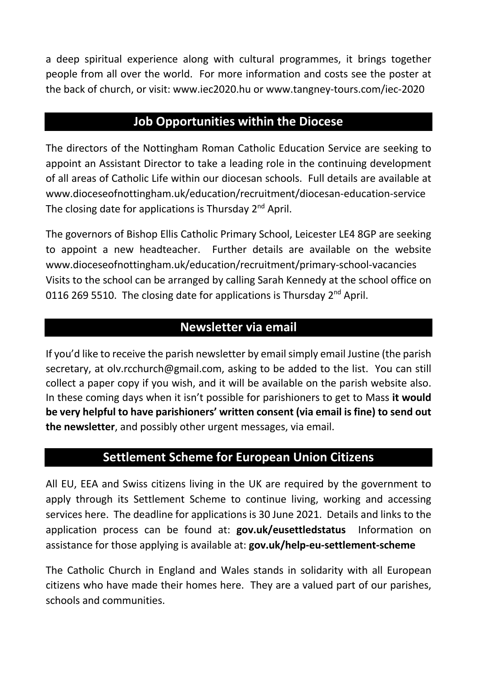a deep spiritual experience along with cultural programmes, it brings together people from all over the world. For more information and costs see the poster at the back of church, or visit: www.iec2020.hu or www.tangney-tours.com/iec-2020

#### **Job Opportunities within the Diocese**

The directors of the Nottingham Roman Catholic Education Service are seeking to appoint an Assistant Director to take a leading role in the continuing development of all areas of Catholic Life within our diocesan schools. Full details are available at www.dioceseofnottingham.uk/education/recruitment/diocesan-education-service The closing date for applications is Thursday 2<sup>nd</sup> April.

The governors of Bishop Ellis Catholic Primary School, Leicester LE4 8GP are seeking to appoint a new headteacher. Further details are available on the website www.dioceseofnottingham.uk/education/recruitment/primary-school-vacancies Visits to the school can be arranged by calling Sarah Kennedy at the school office on 0116 269 5510. The closing date for applications is Thursday  $2^{nd}$  April.

#### **Newsletter via email**

If you'd like to receive the parish newsletter by email simply email Justine (the parish secretary, at olv.rcchurch@gmail.com, asking to be added to the list. You can still collect a paper copy if you wish, and it will be available on the parish website also. In these coming days when it isn't possible for parishioners to get to Mass **it would be very helpful to have parishioners' written consent (via email is fine) to send out the newsletter**, and possibly other urgent messages, via email.

#### **Settlement Scheme for European Union Citizens**

All EU, EEA and Swiss citizens living in the UK are required by the government to apply through its Settlement Scheme to continue living, working and accessing services here. The deadline for applications is 30 June 2021. Details and links to the application process can be found at: **gov.uk/eusettledstatus** Information on assistance for those applying is available at: **gov.uk/help-eu-settlement-scheme**

The Catholic Church in England and Wales stands in solidarity with all European citizens who have made their homes here. They are a valued part of our parishes, schools and communities.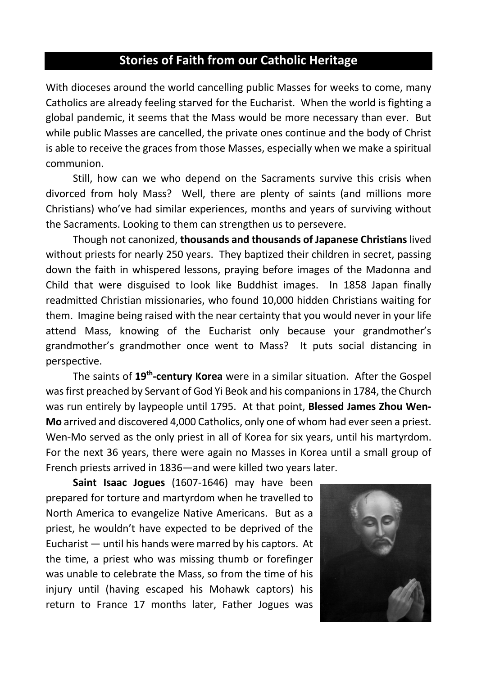## **Stories of Faith from our Catholic Heritage**

With dioceses around the world cancelling public Masses for weeks to come, many Catholics are already feeling starved for the Eucharist. When the world is fighting a global pandemic, it seems that the Mass would be more necessary than ever. But while public Masses are cancelled, the private ones continue and the body of Christ is able to receive the graces from those Masses, especially when we make a spiritual communion.

Still, how can we who depend on the Sacraments survive this crisis when divorced from holy Mass? Well, there are plenty of saints (and millions more Christians) who've had similar experiences, months and years of surviving without the Sacraments. Looking to them can strengthen us to persevere.

Though not canonized, **thousands and thousands of Japanese Christians** lived without priests for nearly 250 years. They baptized their children in secret, passing down the faith in whispered lessons, praying before images of the Madonna and Child that were disguised to look like Buddhist images. In 1858 Japan finally readmitted Christian missionaries, who found 10,000 hidden Christians waiting for them. Imagine being raised with the near certainty that you would never in your life attend Mass, knowing of the Eucharist only because your grandmother's grandmother's grandmother once went to Mass? It puts social distancing in perspective.

The saints of **19th-century Korea** were in a similar situation. After the Gospel was first preached by Servant of God Yi Beok and his companions in 1784, the Church was run entirely by laypeople until 1795. At that point, **Blessed James Zhou Wen-Mo** arrived and discovered 4,000 Catholics, only one of whom had ever seen a priest. Wen-Mo served as the only priest in all of Korea for six years, until his martyrdom. For the next 36 years, there were again no Masses in Korea until a small group of French priests arrived in 1836—and were killed two years later.

**Saint Isaac Jogues** (1607-1646) may have been prepared for torture and martyrdom when he travelled to North America to evangelize Native Americans. But as a priest, he wouldn't have expected to be deprived of the Eucharist — until his hands were marred by his captors. At the time, a priest who was missing thumb or forefinger was unable to celebrate the Mass, so from the time of his injury until (having escaped his Mohawk captors) his return to France 17 months later, Father Jogues was

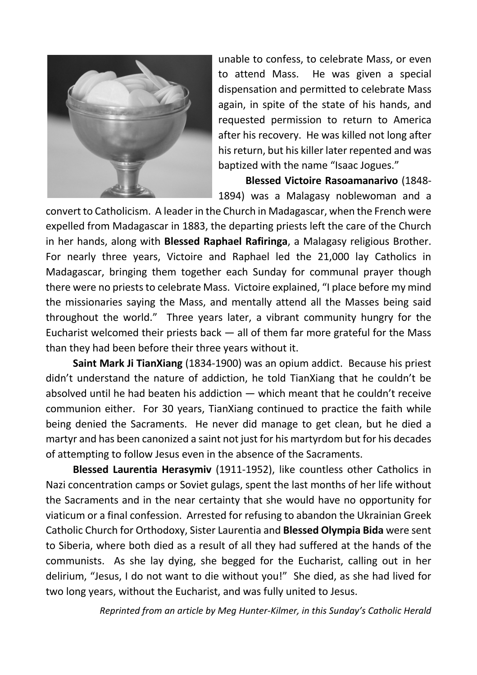

unable to confess, to celebrate Mass, or even to attend Mass. He was given a special dispensation and permitted to celebrate Mass again, in spite of the state of his hands, and requested permission to return to America after his recovery. He was killed not long after his return, but his killer later repented and was baptized with the name "Isaac Jogues."

**Blessed Victoire Rasoamanarivo** (1848- 1894) was a Malagasy noblewoman and a

convert to Catholicism. A leader in the Church in Madagascar, when the French were expelled from Madagascar in 1883, the departing priests left the care of the Church in her hands, along with **Blessed Raphael Rafiringa**, a Malagasy religious Brother. For nearly three years, Victoire and Raphael led the 21,000 lay Catholics in Madagascar, bringing them together each Sunday for communal prayer though there were no priests to celebrate Mass. Victoire explained, "I place before my mind the missionaries saying the Mass, and mentally attend all the Masses being said throughout the world." Three years later, a vibrant community hungry for the Eucharist welcomed their priests back  $-$  all of them far more grateful for the Mass than they had been before their three years without it.

**Saint Mark Ji TianXiang** (1834-1900) was an opium addict. Because his priest didn't understand the nature of addiction, he told TianXiang that he couldn't be absolved until he had beaten his addiction — which meant that he couldn't receive communion either. For 30 years, TianXiang continued to practice the faith while being denied the Sacraments. He never did manage to get clean, but he died a martyr and has been canonized a saint not just for his martyrdom but for his decades of attempting to follow Jesus even in the absence of the Sacraments.

**Blessed Laurentia Herasymiv** (1911-1952), like countless other Catholics in Nazi concentration camps or Soviet gulags, spent the last months of her life without the Sacraments and in the near certainty that she would have no opportunity for viaticum or a final confession. Arrested for refusing to abandon the Ukrainian Greek Catholic Church for Orthodoxy, Sister Laurentia and **Blessed Olympia Bida** were sent to Siberia, where both died as a result of all they had suffered at the hands of the communists. As she lay dying, she begged for the Eucharist, calling out in her delirium, "Jesus, I do not want to die without you!" She died, as she had lived for two long years, without the Eucharist, and was fully united to Jesus.

*Reprinted from an article by Meg Hunter-Kilmer, in this Sunday's Catholic Herald*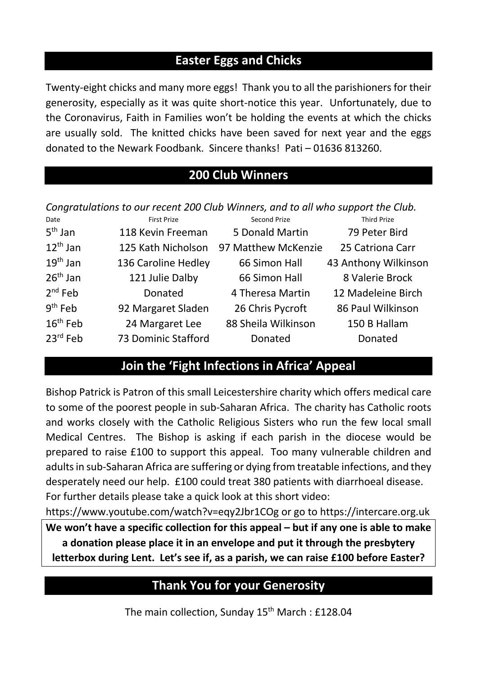## **Easter Eggs and Chicks**

Twenty-eight chicks and many more eggs! Thank you to all the parishioners for their generosity, especially as it was quite short-notice this year. Unfortunately, due to the Coronavirus, Faith in Families won't be holding the events at which the chicks are usually sold. The knitted chicks have been saved for next year and the eggs donated to the Newark Foodbank. Sincere thanks! Pati – 01636 813260.

## **200 Club Winners**

*Congratulations to our recent 200 Club Winners, and to all who support the Club.*

| Date                 | First Prize         | Second Prize        | <b>Third Prize</b>   |
|----------------------|---------------------|---------------------|----------------------|
| $5th$ Jan            | 118 Kevin Freeman   | 5 Donald Martin     | 79 Peter Bird        |
| $12^{th}$ Jan        | 125 Kath Nicholson  | 97 Matthew McKenzie | 25 Catriona Carr     |
| $19th$ Jan           | 136 Caroline Hedley | 66 Simon Hall       | 43 Anthony Wilkinson |
| $26th$ Jan           | 121 Julie Dalby     | 66 Simon Hall       | 8 Valerie Brock      |
| $2nd$ Feb            | Donated             | 4 Theresa Martin    | 12 Madeleine Birch   |
| $9th$ Feb            | 92 Margaret Sladen  | 26 Chris Pycroft    | 86 Paul Wilkinson    |
| 16 <sup>th</sup> Feb | 24 Margaret Lee     | 88 Sheila Wilkinson | 150 B Hallam         |
| $23^{\text{rd}}$ Feb | 73 Dominic Stafford | Donated             | Donated              |

#### **Join the 'Fight Infections in Africa' Appeal**

Bishop Patrick is Patron of this small Leicestershire charity which offers medical care to some of the poorest people in sub-Saharan Africa. The charity has Catholic roots and works closely with the Catholic Religious Sisters who run the few local small Medical Centres. The Bishop is asking if each parish in the diocese would be prepared to raise £100 to support this appeal. Too many vulnerable children and adults in sub-Saharan Africa are suffering or dying from treatable infections, and they desperately need our help. £100 could treat 380 patients with diarrhoeal disease. For further details please take a quick look at this short video:

https://www.youtube.com/watch?v=eqy2Jbr1COg or go to https://intercare.org.uk **We won't have a specific collection for this appeal – but if any one is able to make a donation please place it in an envelope and put it through the presbytery letterbox during Lent. Let's see if, as a parish, we can raise £100 before Easter?**

## **Thank You for your Generosity**

The main collection, Sunday 15<sup>th</sup> March : £128.04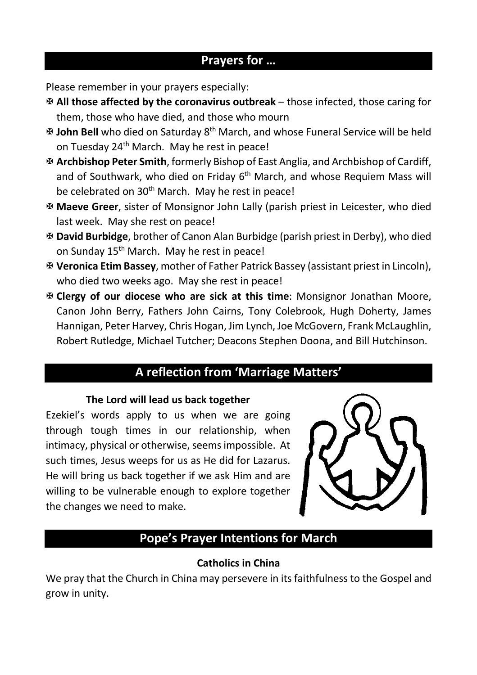#### **Prayers for …**

Please remember in your prayers especially:

- X **All those affected by the coronavirus outbreak** those infected, those caring for them, those who have died, and those who mourn
- X **John Bell** who died on Saturday 8th March, and whose Funeral Service will be held on Tuesday 24<sup>th</sup> March. May he rest in peace!
- X **Archbishop Peter Smith**, formerly Bishop of East Anglia, and Archbishop of Cardiff, and of Southwark, who died on Friday  $6<sup>th</sup>$  March, and whose Requiem Mass will be celebrated on 30<sup>th</sup> March. May he rest in peace!
- X **Maeve Greer**, sister of Monsignor John Lally (parish priest in Leicester, who died last week. May she rest on peace!
- X **David Burbidge**, brother of Canon Alan Burbidge (parish priest in Derby), who died on Sunday 15<sup>th</sup> March. May he rest in peace!
- X **Veronica Etim Bassey**, mother of Father Patrick Bassey (assistant priest in Lincoln), who died two weeks ago. May she rest in peace!
- X **Clergy of our diocese who are sick at this time**: Monsignor Jonathan Moore, Canon John Berry, Fathers John Cairns, Tony Colebrook, Hugh Doherty, James Hannigan, Peter Harvey, Chris Hogan, Jim Lynch, Joe McGovern, Frank McLaughlin, Robert Rutledge, Michael Tutcher; Deacons Stephen Doona, and Bill Hutchinson.

## **A reflection from 'Marriage Matters'**

#### **The Lord will lead us back together**

Ezekiel's words apply to us when we are going through tough times in our relationship, when intimacy, physical or otherwise, seems impossible. At such times, Jesus weeps for us as He did for Lazarus. He will bring us back together if we ask Him and are willing to be vulnerable enough to explore together the changes we need to make.



## **Pope's Prayer Intentions for March**

#### **Catholics in China**

We pray that the Church in China may persevere in its faithfulness to the Gospel and grow in unity.